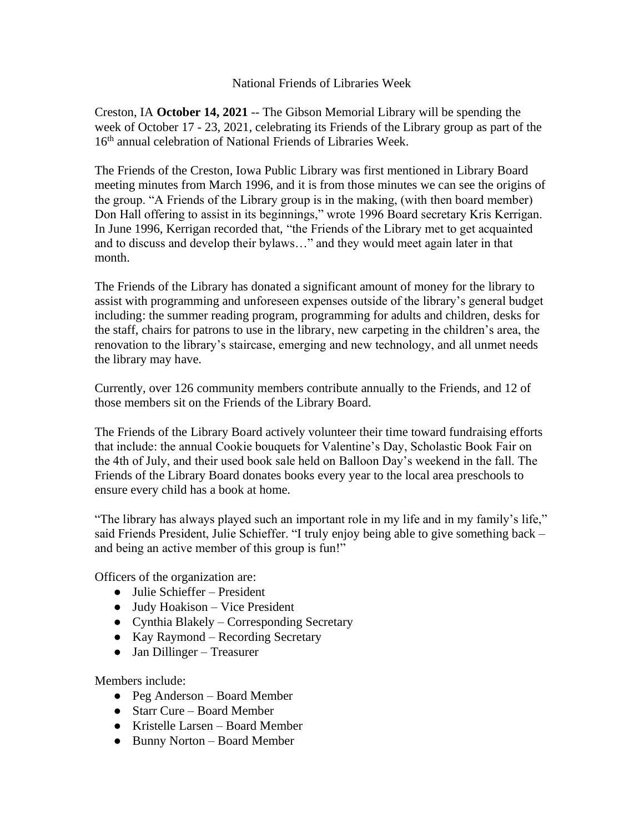## National Friends of Libraries Week

Creston, IA **October 14, 2021** -- The Gibson Memorial Library will be spending the week of October 17 - 23, 2021, celebrating its Friends of the Library group as part of the 16th annual celebration of National Friends of Libraries Week.

The Friends of the Creston, Iowa Public Library was first mentioned in Library Board meeting minutes from March 1996, and it is from those minutes we can see the origins of the group. "A Friends of the Library group is in the making, (with then board member) Don Hall offering to assist in its beginnings," wrote 1996 Board secretary Kris Kerrigan. In June 1996, Kerrigan recorded that, "the Friends of the Library met to get acquainted and to discuss and develop their bylaws…" and they would meet again later in that month.

The Friends of the Library has donated a significant amount of money for the library to assist with programming and unforeseen expenses outside of the library's general budget including: the summer reading program, programming for adults and children, desks for the staff, chairs for patrons to use in the library, new carpeting in the children's area, the renovation to the library's staircase, emerging and new technology, and all unmet needs the library may have.

Currently, over 126 community members contribute annually to the Friends, and 12 of those members sit on the Friends of the Library Board.

The Friends of the Library Board actively volunteer their time toward fundraising efforts that include: the annual Cookie bouquets for Valentine's Day, Scholastic Book Fair on the 4th of July, and their used book sale held on Balloon Day's weekend in the fall. The Friends of the Library Board donates books every year to the local area preschools to ensure every child has a book at home.

"The library has always played such an important role in my life and in my family's life," said Friends President, Julie Schieffer. "I truly enjoy being able to give something back – and being an active member of this group is fun!"

Officers of the organization are:

- $\bullet$  Julie Schieffer President
- $\bullet$  Judy Hoakison Vice President
- Cynthia Blakely Corresponding Secretary
- Kay Raymond Recording Secretary
- Jan Dillinger Treasurer

Members include:

- Peg Anderson Board Member
- Starr Cure Board Member
- Kristelle Larsen Board Member
- Bunny Norton Board Member